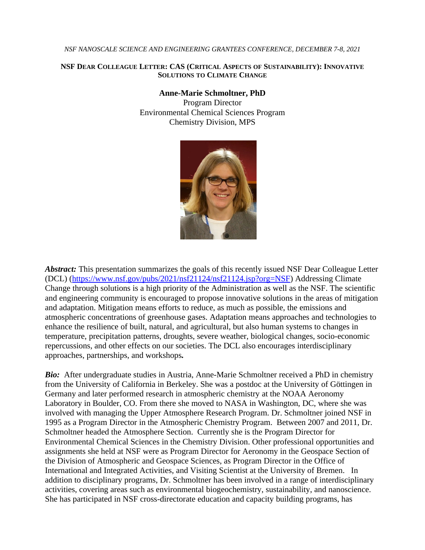## *NSF NANOSCALE SCIENCE AND ENGINEERING GRANTEES CONFERENCE, DECEMBER 7-8, 2021*

## **NSF DEAR COLLEAGUE LETTER: CAS (CRITICAL ASPECTS OF S[USTAINABILITY](https://www.nsf.gov/pubs/2021/nsf21124/nsf21124.jsp?org=NSF)): INNOVATIVE S[OLUTIONS](https://www.nsf.gov/pubs/2021/nsf21124/nsf21124.jsp?org=NSF) TO CLIMATE CHANGE**

## **Anne-Marie Schmoltner, PhD**

Program Director Environmental Chemical Sciences Program Chemistry Division, MPS



*Abstract:* This presentation summarizes the goals of this recently issued NSF Dear Colleague Letter (DCL) (<https://www.nsf.gov/pubs/2021/nsf21124/nsf21124.jsp?org=NSF>) Addressing Climate Change through solutions is a high priority of the Administration as well as the NSF. The scientific and engineering community is encouraged to propose innovative solutions in the areas of mitigation and adaptation. Mitigation means efforts to reduce, as much as possible, the emissions and atmospheric concentrations of greenhouse gases. Adaptation means approaches and technologies to enhance the resilience of built, natural, and agricultural, but also human systems to changes in temperature, precipitation patterns, droughts, severe weather, biological changes, socio-economic repercussions, and other effects on our societies. The DCL also encourages interdisciplinary approaches, partnerships, and workshops*.*

**Bio:** After undergraduate studies in Austria, Anne-Marie Schmoltner received a PhD in chemistry from the University of California in Berkeley. She was a postdoc at the University of Göttingen in Germany and later performed research in atmospheric chemistry at the NOAA Aeronomy Laboratory in Boulder, CO. From there she moved to NASA in Washington, DC, where she was involved with managing the Upper Atmosphere Research Program. Dr. Schmoltner joined NSF in 1995 as a Program Director in the Atmospheric Chemistry Program. Between 2007 and 2011, Dr. Schmoltner headed the Atmosphere Section. Currently she is the Program Director for Environmental Chemical Sciences in the Chemistry Division. Other professional opportunities and assignments she held at NSF were as Program Director for Aeronomy in the Geospace Section of the Division of Atmospheric and Geospace Sciences, as Program Director in the Office of International and Integrated Activities, and Visiting Scientist at the University of Bremen. In addition to disciplinary programs, Dr. Schmoltner has been involved in a range of interdisciplinary activities, covering areas such as environmental biogeochemistry, sustainability, and nanoscience. She has participated in NSF cross-directorate education and capacity building programs, has